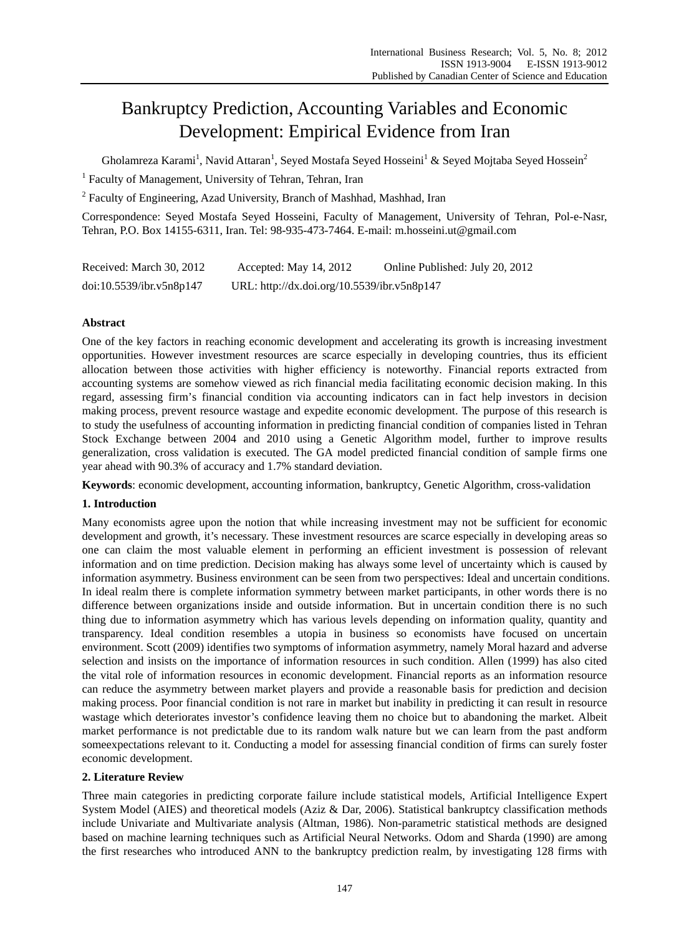# Bankruptcy Prediction, Accounting Variables and Economic Development: Empirical Evidence from Iran

Gholamreza Karami<sup>1</sup>, Navid Attaran<sup>1</sup>, Seyed Mostafa Seyed Hosseini<sup>1</sup> & Seyed Mojtaba Seyed Hossein<sup>2</sup>

<sup>1</sup> Faculty of Management, University of Tehran, Tehran, Iran

 $2^2$  Faculty of Engineering, Azad University, Branch of Mashhad, Mashhad, Iran

Correspondence: Seyed Mostafa Seyed Hosseini, Faculty of Management, University of Tehran, Pol-e-Nasr, Tehran, P.O. Box 14155-6311, Iran. Tel: 98-935-473-7464. E-mail: m.hosseini.ut@gmail.com

| Received: March 30, 2012 | Accepted: May 14, 2012                      | Online Published: July 20, 2012 |
|--------------------------|---------------------------------------------|---------------------------------|
| doi:10.5539/ibr.v5n8p147 | URL: http://dx.doi.org/10.5539/ibr.v5n8p147 |                                 |

# **Abstract**

One of the key factors in reaching economic development and accelerating its growth is increasing investment opportunities. However investment resources are scarce especially in developing countries, thus its efficient allocation between those activities with higher efficiency is noteworthy. Financial reports extracted from accounting systems are somehow viewed as rich financial media facilitating economic decision making. In this regard, assessing firm's financial condition via accounting indicators can in fact help investors in decision making process, prevent resource wastage and expedite economic development. The purpose of this research is to study the usefulness of accounting information in predicting financial condition of companies listed in Tehran Stock Exchange between 2004 and 2010 using a Genetic Algorithm model, further to improve results generalization, cross validation is executed. The GA model predicted financial condition of sample firms one year ahead with 90.3% of accuracy and 1.7% standard deviation.

**Keywords**: economic development, accounting information, bankruptcy, Genetic Algorithm, cross-validation

# **1. Introduction**

Many economists agree upon the notion that while increasing investment may not be sufficient for economic development and growth, it's necessary. These investment resources are scarce especially in developing areas so one can claim the most valuable element in performing an efficient investment is possession of relevant information and on time prediction. Decision making has always some level of uncertainty which is caused by information asymmetry. Business environment can be seen from two perspectives: Ideal and uncertain conditions. In ideal realm there is complete information symmetry between market participants, in other words there is no difference between organizations inside and outside information. But in uncertain condition there is no such thing due to information asymmetry which has various levels depending on information quality, quantity and transparency. Ideal condition resembles a utopia in business so economists have focused on uncertain environment. Scott (2009) identifies two symptoms of information asymmetry, namely Moral hazard and adverse selection and insists on the importance of information resources in such condition. Allen (1999) has also cited the vital role of information resources in economic development. Financial reports as an information resource can reduce the asymmetry between market players and provide a reasonable basis for prediction and decision making process. Poor financial condition is not rare in market but inability in predicting it can result in resource wastage which deteriorates investor's confidence leaving them no choice but to abandoning the market. Albeit market performance is not predictable due to its random walk nature but we can learn from the past andform someexpectations relevant to it. Conducting a model for assessing financial condition of firms can surely foster economic development.

# **2. Literature Review**

Three main categories in predicting corporate failure include statistical models, Artificial Intelligence Expert System Model (AIES) and theoretical models (Aziz & Dar, 2006). Statistical bankruptcy classification methods include Univariate and Multivariate analysis (Altman, 1986). Non-parametric statistical methods are designed based on machine learning techniques such as Artificial Neural Networks. Odom and Sharda (1990) are among the first researches who introduced ANN to the bankruptcy prediction realm, by investigating 128 firms with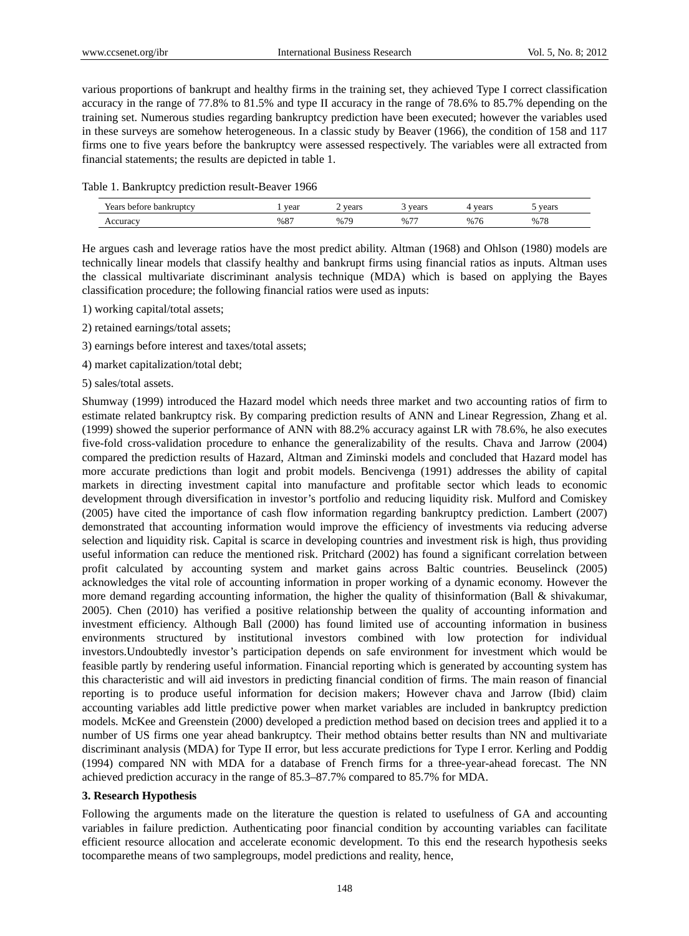various proportions of bankrupt and healthy firms in the training set, they achieved Type I correct classification accuracy in the range of 77.8% to 81.5% and type II accuracy in the range of 78.6% to 85.7% depending on the training set. Numerous studies regarding bankruptcy prediction have been executed; however the variables used in these surveys are somehow heterogeneous. In a classic study by Beaver (1966), the condition of 158 and 117 firms one to five years before the bankruptcy were assessed respectively. The variables were all extracted from financial statements; the results are depicted in table 1.

Table 1. Bankruptcy prediction result-Beaver 1966

| bankruptcy<br>Vearc<br>hetore<br>* اا∂ت⊾ | vear | IIQ0H<br>cais<br>- | vears    | vears | vears |
|------------------------------------------|------|--------------------|----------|-------|-------|
| $\alpha$ ura $\alpha$<br>лиас            | %87  | 70<br>$\%$ .       | $%7^{-}$ | %7c   | %78   |

He argues cash and leverage ratios have the most predict ability. Altman (1968) and Ohlson (1980) models are technically linear models that classify healthy and bankrupt firms using financial ratios as inputs. Altman uses the classical multivariate discriminant analysis technique (MDA) which is based on applying the Bayes classification procedure; the following financial ratios were used as inputs:

- 1) working capital/total assets;
- 2) retained earnings/total assets;
- 3) earnings before interest and taxes/total assets;
- 4) market capitalization/total debt;
- 5) sales/total assets.

Shumway (1999) introduced the Hazard model which needs three market and two accounting ratios of firm to estimate related bankruptcy risk. By comparing prediction results of ANN and Linear Regression, Zhang et al. (1999) showed the superior performance of ANN with 88.2% accuracy against LR with 78.6%, he also executes five-fold cross-validation procedure to enhance the generalizability of the results. Chava and Jarrow (2004) compared the prediction results of Hazard, Altman and Ziminski models and concluded that Hazard model has more accurate predictions than logit and probit models. Bencivenga (1991) addresses the ability of capital markets in directing investment capital into manufacture and profitable sector which leads to economic development through diversification in investor's portfolio and reducing liquidity risk. Mulford and Comiskey (2005) have cited the importance of cash flow information regarding bankruptcy prediction. Lambert (2007) demonstrated that accounting information would improve the efficiency of investments via reducing adverse selection and liquidity risk. Capital is scarce in developing countries and investment risk is high, thus providing useful information can reduce the mentioned risk. Pritchard (2002) has found a significant correlation between profit calculated by accounting system and market gains across Baltic countries. Beuselinck (2005) acknowledges the vital role of accounting information in proper working of a dynamic economy. However the more demand regarding accounting information, the higher the quality of thisinformation (Ball  $\&$  shivakumar, 2005). Chen (2010) has verified a positive relationship between the quality of accounting information and investment efficiency. Although Ball (2000) has found limited use of accounting information in business environments structured by institutional investors combined with low protection for individual investors.Undoubtedly investor's participation depends on safe environment for investment which would be feasible partly by rendering useful information. Financial reporting which is generated by accounting system has this characteristic and will aid investors in predicting financial condition of firms. The main reason of financial reporting is to produce useful information for decision makers; However chava and Jarrow (Ibid) claim accounting variables add little predictive power when market variables are included in bankruptcy prediction models. McKee and Greenstein (2000) developed a prediction method based on decision trees and applied it to a number of US firms one year ahead bankruptcy. Their method obtains better results than NN and multivariate discriminant analysis (MDA) for Type II error, but less accurate predictions for Type I error. Kerling and Poddig (1994) compared NN with MDA for a database of French firms for a three-year-ahead forecast. The NN achieved prediction accuracy in the range of 85.3–87.7% compared to 85.7% for MDA.

## **3. Research Hypothesis**

Following the arguments made on the literature the question is related to usefulness of GA and accounting variables in failure prediction. Authenticating poor financial condition by accounting variables can facilitate efficient resource allocation and accelerate economic development. To this end the research hypothesis seeks tocomparethe means of two samplegroups, model predictions and reality, hence,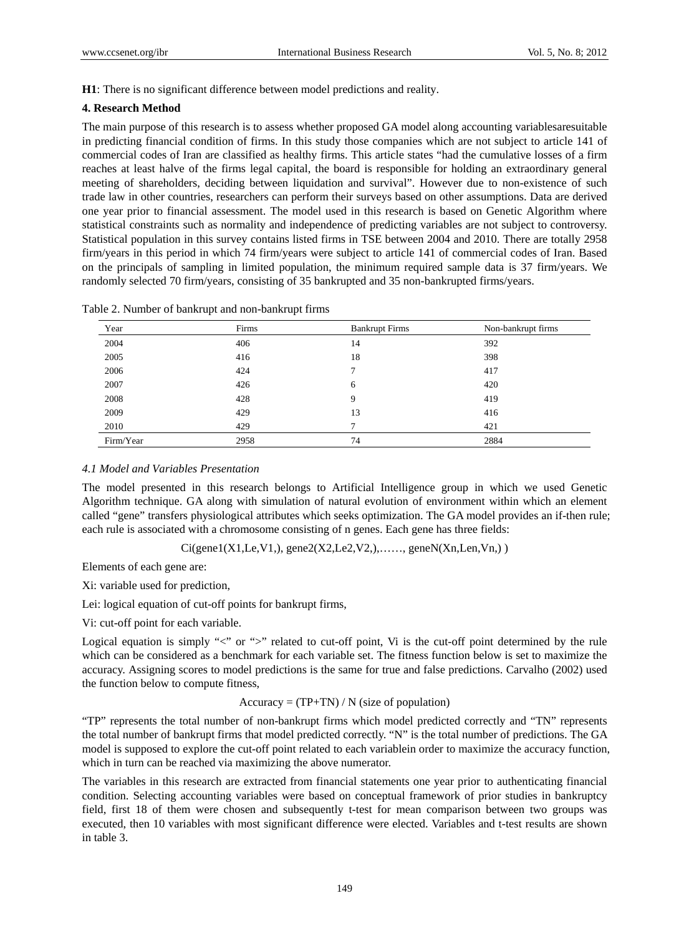**H1**: There is no significant difference between model predictions and reality.

# **4. Research Method**

The main purpose of this research is to assess whether proposed GA model along accounting variablesaresuitable in predicting financial condition of firms. In this study those companies which are not subject to article 141 of commercial codes of Iran are classified as healthy firms. This article states "had the cumulative losses of a firm reaches at least halve of the firms legal capital, the board is responsible for holding an extraordinary general meeting of shareholders, deciding between liquidation and survival". However due to non-existence of such trade law in other countries, researchers can perform their surveys based on other assumptions. Data are derived one year prior to financial assessment. The model used in this research is based on Genetic Algorithm where statistical constraints such as normality and independence of predicting variables are not subject to controversy. Statistical population in this survey contains listed firms in TSE between 2004 and 2010. There are totally 2958 firm/years in this period in which 74 firm/years were subject to article 141 of commercial codes of Iran. Based on the principals of sampling in limited population, the minimum required sample data is 37 firm/years. We randomly selected 70 firm/years, consisting of 35 bankrupted and 35 non-bankrupted firms/years.

| Year      | Firms | <b>Bankrupt Firms</b> | Non-bankrupt firms |
|-----------|-------|-----------------------|--------------------|
| 2004      | 406   | 14                    | 392                |
| 2005      | 416   | 18                    | 398                |
| 2006      | 424   | 7                     | 417                |
| 2007      | 426   | 6                     | 420                |
| 2008      | 428   | 9                     | 419                |
| 2009      | 429   | 13                    | 416                |
| 2010      | 429   | ┑                     | 421                |
| Firm/Year | 2958  | 74                    | 2884               |

Table 2. Number of bankrupt and non-bankrupt firms

# *4.1 Model and Variables Presentation*

The model presented in this research belongs to Artificial Intelligence group in which we used Genetic Algorithm technique. GA along with simulation of natural evolution of environment within which an element called "gene" transfers physiological attributes which seeks optimization. The GA model provides an if-then rule; each rule is associated with a chromosome consisting of n genes. Each gene has three fields:

 $Ci(gene1(X1,Le, V1,), gene2(X2,Le2, V2,), \ldots, geneN(Xn,Len,Vn,))$ 

Elements of each gene are:

Xi: variable used for prediction,

Lei: logical equation of cut-off points for bankrupt firms,

Vi: cut-off point for each variable.

Logical equation is simply "<" or ">" related to cut-off point, Vi is the cut-off point determined by the rule which can be considered as a benchmark for each variable set. The fitness function below is set to maximize the accuracy. Assigning scores to model predictions is the same for true and false predictions. Carvalho (2002) used the function below to compute fitness,

 $Accuracy = (TP + TN) / N$  (size of population)

"TP" represents the total number of non-bankrupt firms which model predicted correctly and "TN" represents the total number of bankrupt firms that model predicted correctly. "N" is the total number of predictions. The GA model is supposed to explore the cut-off point related to each variablein order to maximize the accuracy function, which in turn can be reached via maximizing the above numerator.

The variables in this research are extracted from financial statements one year prior to authenticating financial condition. Selecting accounting variables were based on conceptual framework of prior studies in bankruptcy field, first 18 of them were chosen and subsequently t-test for mean comparison between two groups was executed, then 10 variables with most significant difference were elected. Variables and t-test results are shown in table 3.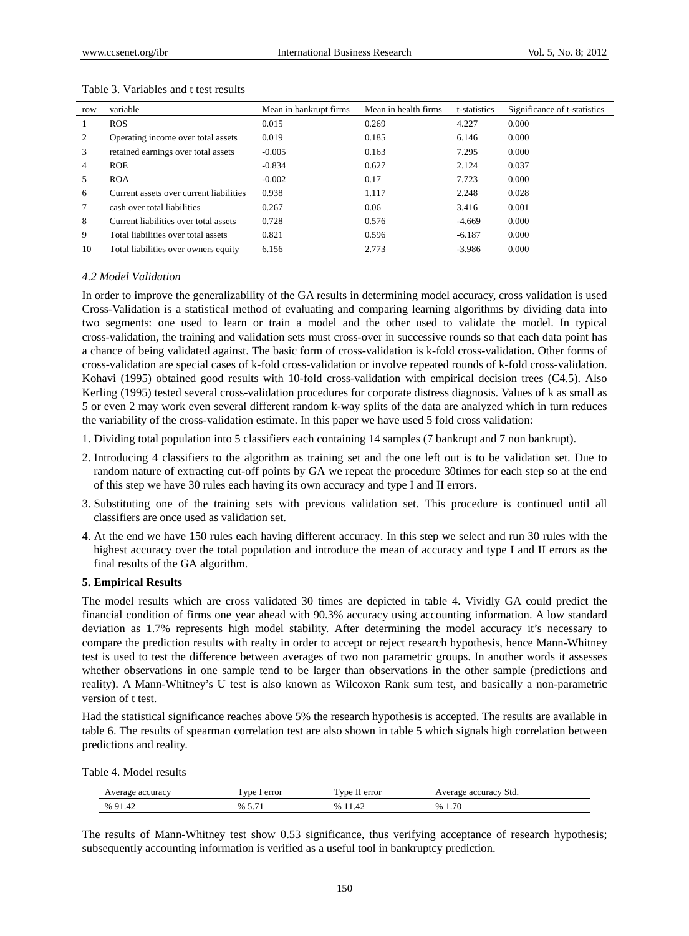| row | variable                                | Mean in bankrupt firms | Mean in health firms | t-statistics | Significance of t-statistics |
|-----|-----------------------------------------|------------------------|----------------------|--------------|------------------------------|
| 1   | <b>ROS</b>                              | 0.015                  | 0.269                | 4.227        | 0.000                        |
| 2   | Operating income over total assets      | 0.019                  | 0.185                | 6.146        | 0.000                        |
| 3   | retained earnings over total assets     | $-0.005$               | 0.163                | 7.295        | 0.000                        |
| 4   | <b>ROE</b>                              | $-0.834$               | 0.627                | 2.124        | 0.037                        |
| 5   | <b>ROA</b>                              | $-0.002$               | 0.17                 | 7.723        | 0.000                        |
| 6   | Current assets over current liabilities | 0.938                  | 1.117                | 2.248        | 0.028                        |
| 7   | cash over total liabilities             | 0.267                  | 0.06                 | 3.416        | 0.001                        |
| 8   | Current liabilities over total assets   | 0.728                  | 0.576                | -4.669       | 0.000                        |
| 9   | Total liabilities over total assets     | 0.821                  | 0.596                | $-6.187$     | 0.000                        |
| 10  | Total liabilities over owners equity    | 6.156                  | 2.773                | $-3.986$     | 0.000                        |

#### Table 3. Variables and t test results

## *4.2 Model Validation*

In order to improve the generalizability of the GA results in determining model accuracy, cross validation is used Cross-Validation is a statistical method of evaluating and comparing learning algorithms by dividing data into two segments: one used to learn or train a model and the other used to validate the model. In typical cross-validation, the training and validation sets must cross-over in successive rounds so that each data point has a chance of being validated against. The basic form of cross-validation is k-fold cross-validation. Other forms of cross-validation are special cases of k-fold cross-validation or involve repeated rounds of k-fold cross-validation. Kohavi (1995) obtained good results with 10-fold cross-validation with empirical decision trees (C4.5). Also Kerling (1995) tested several cross-validation procedures for corporate distress diagnosis. Values of k as small as 5 or even 2 may work even several different random k-way splits of the data are analyzed which in turn reduces the variability of the cross-validation estimate. In this paper we have used 5 fold cross validation:

- 1. Dividing total population into 5 classifiers each containing 14 samples (7 bankrupt and 7 non bankrupt).
- 2. Introducing 4 classifiers to the algorithm as training set and the one left out is to be validation set. Due to random nature of extracting cut-off points by GA we repeat the procedure 30times for each step so at the end of this step we have 30 rules each having its own accuracy and type I and II errors.
- 3. Substituting one of the training sets with previous validation set. This procedure is continued until all classifiers are once used as validation set.
- 4. At the end we have 150 rules each having different accuracy. In this step we select and run 30 rules with the highest accuracy over the total population and introduce the mean of accuracy and type I and II errors as the final results of the GA algorithm.

## **5. Empirical Results**

The model results which are cross validated 30 times are depicted in table 4. Vividly GA could predict the financial condition of firms one year ahead with 90.3% accuracy using accounting information. A low standard deviation as 1.7% represents high model stability. After determining the model accuracy it's necessary to compare the prediction results with realty in order to accept or reject research hypothesis, hence Mann-Whitney test is used to test the difference between averages of two non parametric groups. In another words it assesses whether observations in one sample tend to be larger than observations in the other sample (predictions and reality). A Mann-Whitney's U test is also known as Wilcoxon Rank sum test, and basically a non-parametric version of t test.

Had the statistical significance reaches above 5% the research hypothesis is accepted. The results are available in table 6. The results of spearman correlation test are also shown in table 5 which signals high correlation between predictions and reality.

| Table 4. Model results |
|------------------------|
|------------------------|

| accuracv: a<br>Average | vpe<br>error | <b>T<sub>ID</sub></b><br>error | Std.<br>Average $\gamma$<br>000111001<br>- accurac |  |
|------------------------|--------------|--------------------------------|----------------------------------------------------|--|
| % 91<br>' 1.42         | % 5.7.       | $\%$<br>. 1.42                 | $\pi$ c<br>%                                       |  |

The results of Mann-Whitney test show 0.53 significance, thus verifying acceptance of research hypothesis; subsequently accounting information is verified as a useful tool in bankruptcy prediction.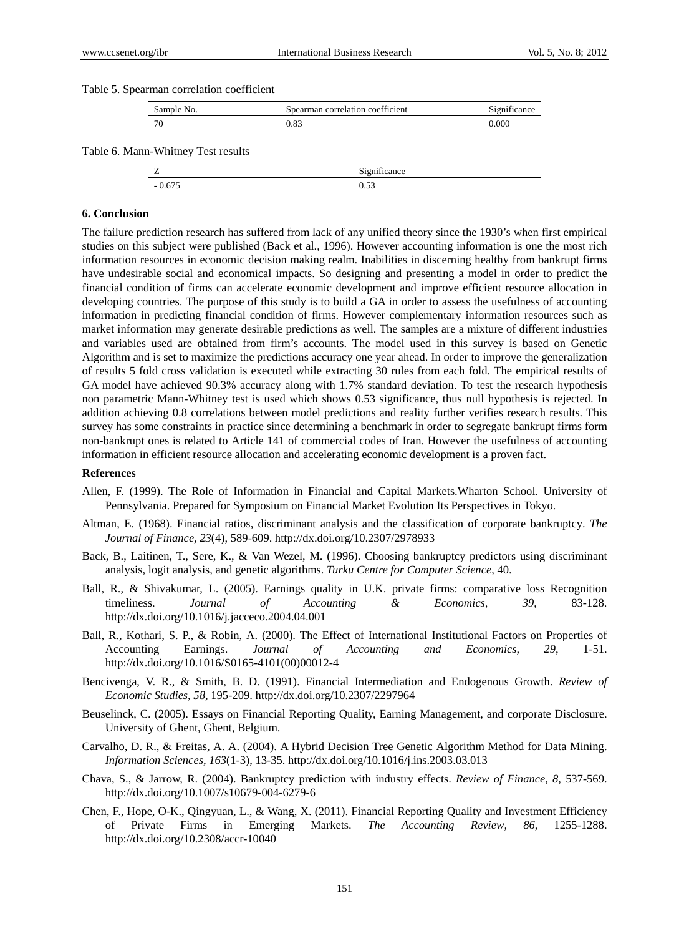## Table 5. Spearman correlation coefficient

| Sample<br>NO. | Spearman correlation coefficient | √iαnit<br>ficance. |
|---------------|----------------------------------|--------------------|
| 70<br>'∪      | ).83                             | $0.000\,$          |

Table 6. Mann-Whitney Test results

| $\overline{ }$<br>∠ | Significance<br>້<br>77 |
|---------------------|-------------------------|
| 0.675               | $\sim$                  |
| - 1                 | $\sim$                  |

# **6. Conclusion**

The failure prediction research has suffered from lack of any unified theory since the 1930's when first empirical studies on this subject were published (Back et al., 1996). However accounting information is one the most rich information resources in economic decision making realm. Inabilities in discerning healthy from bankrupt firms have undesirable social and economical impacts. So designing and presenting a model in order to predict the financial condition of firms can accelerate economic development and improve efficient resource allocation in developing countries. The purpose of this study is to build a GA in order to assess the usefulness of accounting information in predicting financial condition of firms. However complementary information resources such as market information may generate desirable predictions as well. The samples are a mixture of different industries and variables used are obtained from firm's accounts. The model used in this survey is based on Genetic Algorithm and is set to maximize the predictions accuracy one year ahead. In order to improve the generalization of results 5 fold cross validation is executed while extracting 30 rules from each fold. The empirical results of GA model have achieved 90.3% accuracy along with 1.7% standard deviation. To test the research hypothesis non parametric Mann-Whitney test is used which shows 0.53 significance, thus null hypothesis is rejected. In addition achieving 0.8 correlations between model predictions and reality further verifies research results. This survey has some constraints in practice since determining a benchmark in order to segregate bankrupt firms form non-bankrupt ones is related to Article 141 of commercial codes of Iran. However the usefulness of accounting information in efficient resource allocation and accelerating economic development is a proven fact.

### **References**

- Allen, F. (1999). The Role of Information in Financial and Capital Markets.Wharton School. University of Pennsylvania. Prepared for Symposium on Financial Market Evolution Its Perspectives in Tokyo.
- Altman, E. (1968). Financial ratios, discriminant analysis and the classification of corporate bankruptcy. *The Journal of Finance, 23*(4), 589-609. http://dx.doi.org/10.2307/2978933
- Back, B., Laitinen, T., Sere, K., & Van Wezel, M. (1996). Choosing bankruptcy predictors using discriminant analysis, logit analysis, and genetic algorithms. *Turku Centre for Computer Science*, 40.
- Ball, R., & Shivakumar, L. (2005). Earnings quality in U.K. private firms: comparative loss Recognition timeliness. *Journal of Accounting & Economics, 39*, 83-128. http://dx.doi.org/10.1016/j.jacceco.2004.04.001
- Ball, R., Kothari, S. P., & Robin, A. (2000). The Effect of International Institutional Factors on Properties of Accounting Earnings. *Journal of Accounting and Economics, 29*, 1-51. http://dx.doi.org/10.1016/S0165-4101(00)00012-4
- Bencivenga, V. R., & Smith, B. D. (1991). Financial Intermediation and Endogenous Growth. *Review of Economic Studies, 58*, 195-209. http://dx.doi.org/10.2307/2297964
- Beuselinck, C. (2005). Essays on Financial Reporting Quality, Earning Management, and corporate Disclosure. University of Ghent, Ghent, Belgium.
- Carvalho, D. R., & Freitas, A. A. (2004). A Hybrid Decision Tree Genetic Algorithm Method for Data Mining. *Information Sciences, 163*(1-3), 13-35. http://dx.doi.org/10.1016/j.ins.2003.03.013
- Chava, S., & Jarrow, R. (2004). Bankruptcy prediction with industry effects. *Review of Finance, 8*, 537-569. http://dx.doi.org/10.1007/s10679-004-6279-6
- Chen, F., Hope, O-K., Qingyuan, L., & Wang, X. (2011). Financial Reporting Quality and Investment Efficiency of Private Firms in Emerging Markets. *The Accounting Review, 86*, 1255-1288. http://dx.doi.org/10.2308/accr-10040